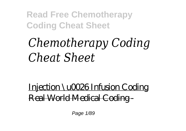# *Chemotherapy Coding Cheat Sheet*

Injection \u0026 Infusion Coding Real World Medical Coding -

Page 1/89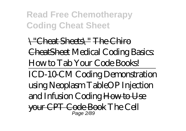\"Cheat Sheets\" The Chiro CheatSheet *Medical Coding Basics: How to Tab Your Code Books!* ICD-10-CM Coding Demonstration using Neoplasm Table*OP Injection and Infusion Coding* How to Use your CPT Code Book *The Cell* Page 2/89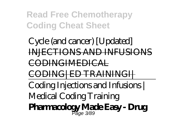*Cycle (and cancer) [Updated]* INJECTIONS AND INFUSIONS CODINGIMEDICAL CODING|ED TRAININGI| Coding Injections and Infusions | Medical Coding Training **Pharmacology Made Easy - Drug** Page 3/89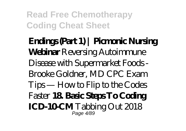**Endings (Part 1) | Picmonic Nursing Webinar** *Reversing Autoimmune Disease with Supermarket Foods - Brooke Goldner, MD CPC Exam Tips — How to Flip to the Codes Faster* **18. Basic Steps To Coding ICD-10CMT** abbing Out 2018 Page 4/89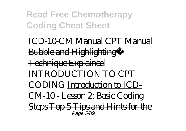ICD-10-CM Manual CPT Manual **Bubble and Highlighting™** Technique Explained *INTRODUCTION TO CPT CODING* Introduction to ICD-CM-10 - Lesson 2: Basic Coding Steps Top 5 Tips and Hints for the Page 5/89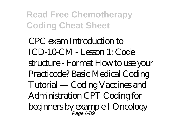CPC exam *Introduction to ICD-10-CM - Lesson 1: Code structure - Format How to use your Practicode? Basic Medical Coding Tutorial — Coding Vaccines and Administration CPT Coding for beginners by example I Oncology* Page 6/89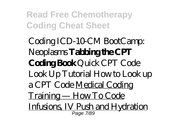*Coding ICD-10-CM BootCamp: Neoplasms* **Tabbing the CPT Coding Book** *Quick CPT Code Look Up Tutorial How to Look up a CPT Code* Medical Coding Training — How To Code Infusions, IV Push and Hydration Page 7/89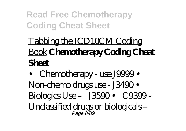# Tabbing the ICD10CM Coding Book **Chemotherapy Coding Cheat Sheet**

• Chemotherapy - use J9999 • Non-chemo drugs use - J3490 • Biologics Use – J3590 • C9399 - Unclassified drugs or biologicals – Page 8/89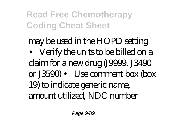may be used in the HOPD setting • Verify the units to be billed on a claim for a new drug (J9999, J3490 or J3590) • Use comment box (box 19) to indicate generic name, amount utilized, NDC number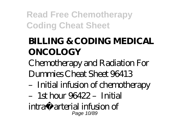## **BILLING & CODING MEDICAL ONCOLOGY**

Chemotherapy and Radiation For Dummies Cheat Sheet 96413

- –Initial infusion of chemotherapy
- $-1$ st hour 96422 Initial
- intra‐arterial infusion of Page 10/89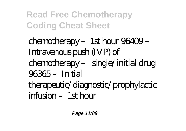chemotherapy - 1st hour 96409 -Intravenous push (IVP) of chemotherapy – single/initial drug 96365 –Initial therapeutic/diagnostic/prophylactic  $\text{inf}$  is  $\text{min} - 1$ st  $\text{lim}$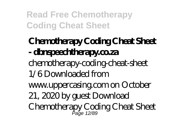#### **Chemotherapy Coding Cheat Sheet - dbnspeechtherapy.co.za** chemotherapy-coding-cheat-sheet 1/6 Downloaded from www.uppercasing.com on October 21, 2020 by guest Download Chemotherapy Coding Cheat Sheet Page 12/89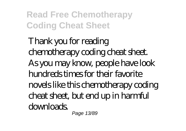Thank you for reading chemotherapy coding cheat sheet. As you may know, people have look hundreds times for their favorite novels like this chemotherapy coding cheat sheet, but end up in harmful downloads. Page 13/89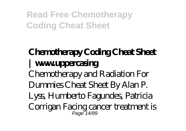#### **Chemotherapy Coding Cheat Sheet | www.uppercasing** Chemotherapy and Radiation For Dummies Cheat Sheet By Alan P. Lyss, Humberto Fagundes, Patricia Corrigan Facing cancer treatment is Page 14/89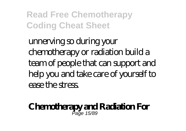unnerving so during your chemotherapy or radiation build a team of people that can support and help you and take care of yourself to ease the stress.

#### **Chemotherapy and Radiation For** Page 15/89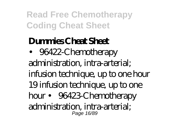### **Dummies Cheat Sheet**

• 96422-Chemotherapy administration, intra-arterial; infusion technique, up to one hour 19 infusion technique, up to one hour • 96423-Chemotherapy administration, intra-arterial; Page 16/89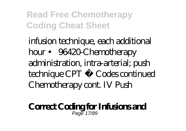infusion technique, each additional hour • 96420-Chemotherapy administration, intra-arterial; push technique CPT ® Codes continued Chemotherapy cont. IV Push

#### **Correct Coding for Infusions and** Page 17/89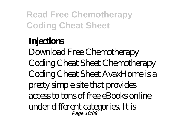# **Injections**

Download Free Chemotherapy Coding Cheat Sheet Chemotherapy Coding Cheat Sheet AvaxHome is a pretty simple site that provides access to tons of free eBooks online under different categories. It is Page 18/89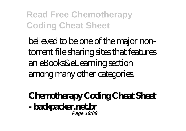believed to be one of the major nontorrent file sharing sites that features an eBooks&eLearning section among many other categories.

#### **Chemotherapy Coding Cheat Sheet - backpacker.net.br** Page 19/89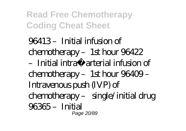$96413$  – Initial infusion of  $chemotheray - 1st hour 96422$  $-$  Initial intra arterial infusion of chemotherapy – 1st hour 96409 – Intravenous push (IVP) of chemotherapy – single/initial drug 96365 –Initial Page 20/89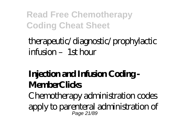therapeutic/diagnostic/prophylactic  $\text{inf}_1$  sion –  $1$ st hour

#### **Injection and Infusion Coding - MemberClicks**

Chemotherapy administration codes apply to parenteral administration of Page 21/89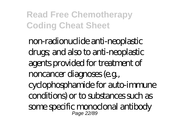non-radionuclide anti-neoplastic drugs; and also to anti-neoplastic agents provided for treatment of noncancer diagnoses (e.g., cyclophosphamide for auto-immune conditions) or to substances such as some specific monoclonal antibody Page 22/89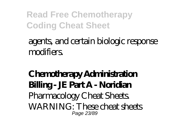#### agents, and certain biologic response modifiers.

#### **Chemotherapy Administration Billing - JE Part A - Noridian** Pharmacology Cheat Sheets. WARNING: These cheat sheets Page 23/89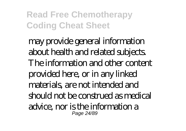may provide general information about health and related subjects. The information and other content provided here, or in any linked materials, are not intended and should not be construed as medical advice, nor is the information a Page 24/89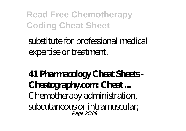### substitute for professional medical expertise or treatment.

#### **41 Pharmacology Cheat Sheets - Cheatography.com Cheat...** Chemotherapy administration, subcutaneous or intramuscular; Page 25/89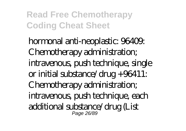hormonal anti-neoplastic: 96409: Chemotherapy administration; intravenous, push technique, single or initial substance/drug +96411: Chemotherapy administration; intravenous, push technique, each additional substance/drug (List Page 26/89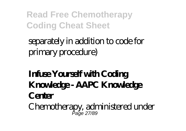### separately in addition to code for primary procedure)

### **Infuse Yourself with Coding Knowledge - AAPC Knowledge Center**

Chemotherapy, administered under Page 27/89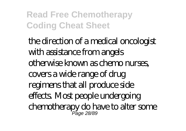the direction of a medical oncologist with assistance from angels otherwise known as chemo nurses, covers a wide range of drug regimens that all produce side effects. Most people undergoing chemotherapy do have to alter some Page 28/89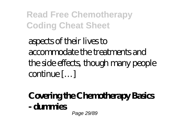aspects of their lives to accommodate the treatments and the side effects, though many people continue […]

# **Covering the Chemotherapy Basics - dummies**

Page 29/89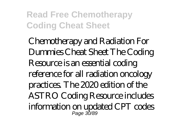Chemotherapy and Radiation For Dummies Cheat Sheet The Coding Resource is an essential coding reference for all radiation oncology practices. The 2020 edition of the ASTRO Coding Resource includes information on updated CPT codes Page 30/89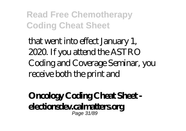that went into effect January 1, 2020. If you attend the ASTRO Coding and Coverage Seminar, you receive both the print and

#### **Oncology Coding Cheat Sheet electionsdev.calmatters.org** Page 31/89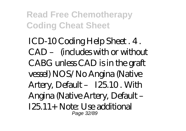ICD-10 Coding Help Sheet . 4 . CAD – (includes with or without CABG unless CAD is in the graft vessel) NOS/No Angina (Native Artery, Default – I25.10 . With Angina (Native Artery, Default – I25.11+ Note: Use additional Page 32/89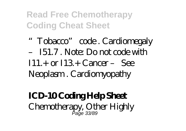"Tobacco" code . Cardiomegaly – I51.7 . Note: Do not code with  $I11 + or I13 + Carner - See$ Neoplasm . Cardiomyopathy

#### **ICD-10 Coding Help Sheet** Chemotherapy, Other Highly Page 33/89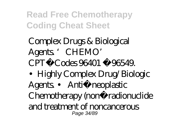Complex Drugs & Biological Agents. CHEMO' CPT®Codes 96401 ‐96549. •Highly Complex Drug/Biologic Agents • Anti neoplastic Chemotherapy (non radionuclide and treatment of noncancerous Page 34/89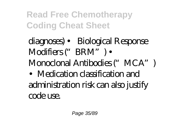diagnoses) • Biological Response Modifiers ("BRM") • Monoclonal Antibodies ("MCA") •Medication classification and administration risk can also justify code use.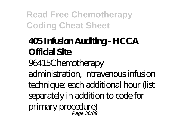### **405 Infusion Auditing - HCCA Official Site**

96415Chemotherapy

administration, intravenous infusion technique; each additional hour (list separately in addition to code for primary procedure)

Page 36/89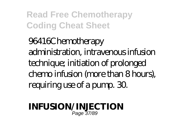96416Chemotherapy administration, intravenous infusion technique; initiation of prolonged chemo infusion (more than 8 hours), requiring use of a pump. 30.

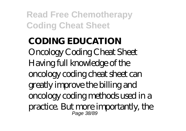## **CODING EDUCATION** Oncology Coding Cheat Sheet Having full knowledge of the oncology coding cheat sheet can greatly improve the billing and oncology coding methods used in a practice. But more importantly, the Page 38/89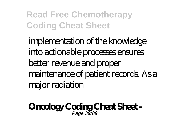implementation of the knowledge into actionable processes ensures better revenue and proper maintenance of patient records. As a major radiation

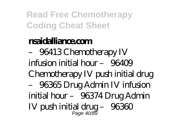## **nsaidalliance.com**

– 96413 Chemotherapy IV infusion initial  $hor - 96409$ Chemotherapy IV push initial drug – 96365 Drug Admin IV infusion initial hour – 96374 Drug Admin  $IV$  push initial drug  $-96360$ Page 40/89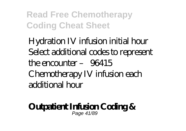Hydration IV infusion initial hour Select additional codes to represent the encounter – 96415 Chemotherapy IV infusion each additional hour

#### **Outpatient Infusion Coding &** Page 41/89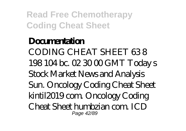## **Documentation** CODING CHEAT SHEET 63 8 198 104 bc. 02 30 00 GMT Today s Stock Market News and Analysis Sun. Oncology Coding Cheat Sheet kintil2019 com. Oncology Coding Cheat Sheet humbzian com. ICD Page 42/89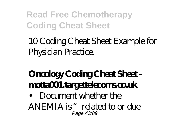10 Coding Cheat Sheet Example for Physician Practice.

## **Oncology Coding Cheat Sheet motta001.targettelecoms.co.uk**

• Document whether the

ANEMIA is "related to or due Page 43/89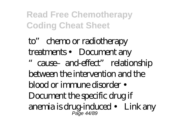to" chemo or radiotherapy treatments • Document any "cause–and-effect" relationship between the intervention and the blood or immune disorder • Document the specific drug if anemia is drug-induced • Link any Page 44/89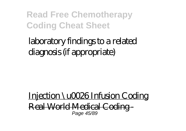laboratory findings to a related diagnosis (if appropriate)

Injection \u0026 Infusion Coding Real World Medical Coding - Page 45/89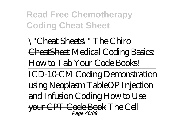\"Cheat Sheets\" The Chiro CheatSheet *Medical Coding Basics: How to Tab Your Code Books!* ICD-10-CM Coding Demonstration using Neoplasm Table*OP Injection and Infusion Coding* How to Use your CPT Code Book *The Cell* Page 46/89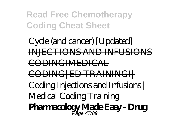*Cycle (and cancer) [Updated]* INJECTIONS AND INFUSIONS CODINGIMEDICAL CODING|ED TRAININGI| Coding Injections and Infusions | Medical Coding Training **Pharmacology Made Easy - Drug** Page 47/89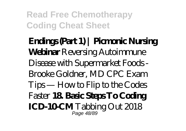**Endings (Part 1) | Picmonic Nursing Webinar** *Reversing Autoimmune Disease with Supermarket Foods - Brooke Goldner, MD CPC Exam Tips — How to Flip to the Codes Faster* **18. Basic Steps To Coding ICD-10CMT** abbing Out 2018 Page 48/89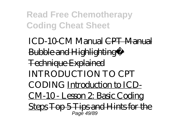ICD-10-CM Manual CPT Manual **Bubble and Highlighting™** Technique Explained *INTRODUCTION TO CPT CODING* Introduction to ICD-CM-10 - Lesson 2: Basic Coding Steps Top 5 Tips and Hints for the Page 49/89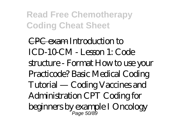CPC exam *Introduction to ICD-10-CM - Lesson 1: Code structure - Format How to use your Practicode? Basic Medical Coding Tutorial — Coding Vaccines and Administration CPT Coding for beginners by example I Oncology* Page 50/89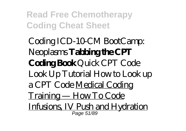*Coding ICD-10-CM BootCamp: Neoplasms* **Tabbing the CPT Coding Book** *Quick CPT Code Look Up Tutorial How to Look up a CPT Code* Medical Coding Training — How To Code Infusions, IV Push and Hydration Page 51/89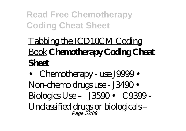# Tabbing the ICD10CM Coding Book **Chemotherapy Coding Cheat Sheet**

• Chemotherapy - use J9999 • Non-chemo drugs use - J3490 • Biologics Use – J3590 • C9399 - Unclassified drugs or biologicals – Page 52/89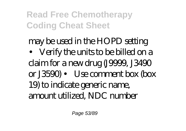may be used in the HOPD setting • Verify the units to be billed on a claim for a new drug (J9999, J3490 or J3590) • Use comment box (box 19) to indicate generic name, amount utilized, NDC number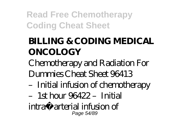# **BILLING & CODING MEDICAL ONCOLOGY**

Chemotherapy and Radiation For Dummies Cheat Sheet 96413

- –Initial infusion of chemotherapy
- $-1$ st hour 96422 Initial
- intra‐arterial infusion of Page 54/89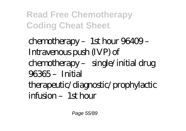chemotherapy - 1st hour 96409 -Intravenous push (IVP) of chemotherapy – single/initial drug 96365 –Initial therapeutic/diagnostic/prophylactic  $\text{inf}$   $\text{sign} - 1$ st  $\text{hom}$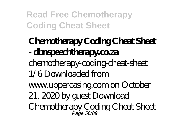## **Chemotherapy Coding Cheat Sheet - dbnspeechtherapy.co.za** chemotherapy-coding-cheat-sheet 1/6 Downloaded from www.uppercasing.com on October 21, 2020 by guest Download Chemotherapy Coding Cheat Sheet Page 56/89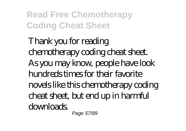Thank you for reading chemotherapy coding cheat sheet. As you may know, people have look hundreds times for their favorite novels like this chemotherapy coding cheat sheet, but end up in harmful downloads. Page 57/89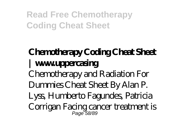## **Chemotherapy Coding Cheat Sheet | www.uppercasing** Chemotherapy and Radiation For Dummies Cheat Sheet By Alan P. Lyss, Humberto Fagundes, Patricia Corrigan Facing cancer treatment is Page 58/89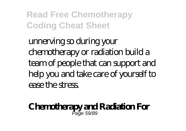unnerving so during your chemotherapy or radiation build a team of people that can support and help you and take care of yourself to ease the stress.

#### **Chemotherapy and Radiation For** Page 59/89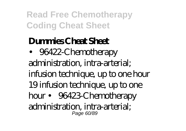## **Dummies Cheat Sheet**

• 96422-Chemotherapy administration, intra-arterial; infusion technique, up to one hour 19 infusion technique, up to one hour • 96423-Chemotherapy administration, intra-arterial; Page 60/89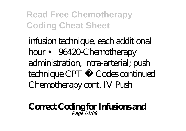infusion technique, each additional hour • 96420-Chemotherapy administration, intra-arterial; push technique CPT ® Codes continued Chemotherapy cont. IV Push

#### **Correct Coding for Infusions and** Page 61/89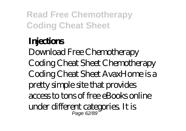# **Injections**

Download Free Chemotherapy Coding Cheat Sheet Chemotherapy Coding Cheat Sheet AvaxHome is a pretty simple site that provides access to tons of free eBooks online under different categories. It is Page 62/89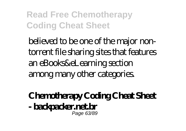believed to be one of the major nontorrent file sharing sites that features an eBooks&eLearning section among many other categories.

### **Chemotherapy Coding Cheat Sheet - backpacker.net.br** Page 63/89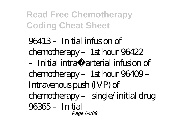$96413$  – Initial infusion of  $chemotheray - 1st hour 96422$  $-$  Initial intra arterial infusion of chemotherapy – 1st hour 96409 – Intravenous push (IVP) of chemotherapy – single/initial drug 96365 –Initial Page 64/89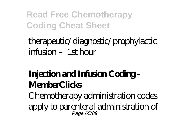therapeutic/diagnostic/prophylactic  $\text{inf}_1$  sion –  $1$ st hour

## **Injection and Infusion Coding - MemberClicks**

Chemotherapy administration codes apply to parenteral administration of Page 65/89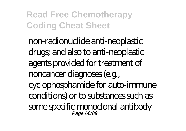non-radionuclide anti-neoplastic drugs; and also to anti-neoplastic agents provided for treatment of noncancer diagnoses (e.g., cyclophosphamide for auto-immune conditions) or to substances such as some specific monoclonal antibody Page 66/89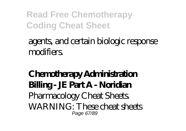## agents, and certain biologic response modifiers.

### **Chemotherapy Administration Billing - JE Part A - Noridian** Pharmacology Cheat Sheets. WARNING: These cheat sheets Page 67/89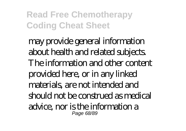may provide general information about health and related subjects. The information and other content provided here, or in any linked materials, are not intended and should not be construed as medical advice, nor is the information a Page 68/89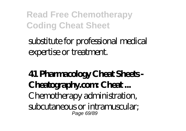# substitute for professional medical expertise or treatment.

### **41 Pharmacology Cheat Sheets - Cheatography.com Cheat...** Chemotherapy administration, subcutaneous or intramuscular; Page 69/89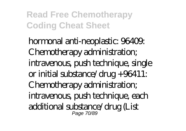hormonal anti-neoplastic: 96409: Chemotherapy administration; intravenous, push technique, single or initial substance/drug +96411: Chemotherapy administration; intravenous, push technique, each additional substance/drug (List Page 70/89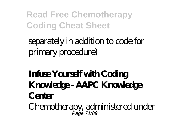# separately in addition to code for primary procedure)

# **Infuse Yourself with Coding Knowledge - AAPC Knowledge Center**

Chemotherapy, administered under Page 71/89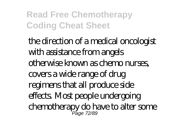the direction of a medical oncologist with assistance from angels otherwise known as chemo nurses, covers a wide range of drug regimens that all produce side effects. Most people undergoing chemotherapy do have to alter some Page 72/89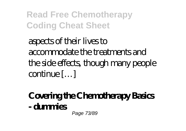aspects of their lives to accommodate the treatments and the side effects, though many people continue […]

# **Covering the Chemotherapy Basics - dummies**

Page 73/89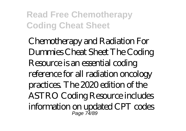Chemotherapy and Radiation For Dummies Cheat Sheet The Coding Resource is an essential coding reference for all radiation oncology practices. The 2020 edition of the ASTRO Coding Resource includes information on updated CPT codes Page 74/89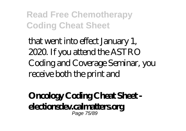that went into effect January 1, 2020. If you attend the ASTRO Coding and Coverage Seminar, you receive both the print and

### **Oncology Coding Cheat Sheet electionsdev.calmatters.org** Page 75/89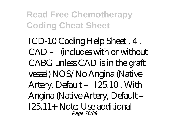ICD-10 Coding Help Sheet . 4 . CAD – (includes with or without CABG unless CAD is in the graft vessel) NOS/No Angina (Native Artery, Default – I25.10 . With Angina (Native Artery, Default – I25.11+ Note: Use additional Page 76/89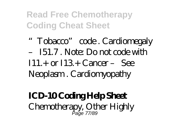"Tobacco" code . Cardiomegaly – I51.7 . Note: Do not code with  $I11 + or I13 + Carner - See$ Neoplasm . Cardiomyopathy

### **ICD-10 Coding Help Sheet** Chemotherapy, Other Highly Page 77/89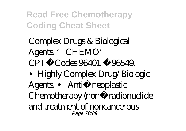Complex Drugs & Biological Agents. CHEMO' CPT®Codes 96401 ‐96549. •Highly Complex Drug/Biologic Agents • Anti neoplastic Chemotherapy (non radionuclide and treatment of noncancerous Page 78/89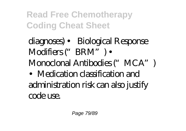diagnoses) • Biological Response Modifiers ("BRM") • Monoclonal Antibodies ("MCA") •Medication classification and administration risk can also justify code use.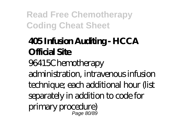# **405 Infusion Auditing - HCCA Official Site**

96415Chemotherapy

administration, intravenous infusion technique; each additional hour (list separately in addition to code for primary procedure)

Page 80/89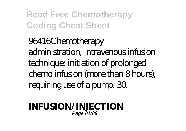96416Chemotherapy administration, intravenous infusion technique; initiation of prolonged chemo infusion (more than 8 hours), requiring use of a pump. 30.

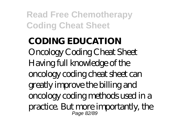### **CODING EDUCATION** Oncology Coding Cheat Sheet Having full knowledge of the oncology coding cheat sheet can greatly improve the billing and oncology coding methods used in a practice. But more importantly, the Page 82/89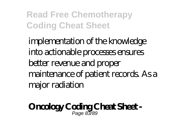implementation of the knowledge into actionable processes ensures better revenue and proper maintenance of patient records. As a major radiation

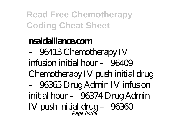### **nsaidalliance.com**

– 96413 Chemotherapy IV infusion initial  $hor - 96409$ Chemotherapy IV push initial drug – 96365 Drug Admin IV infusion initial hour – 96374 Drug Admin  $IV$  push initial drug  $-96360$ Page 84/89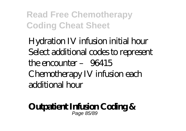Hydration IV infusion initial hour Select additional codes to represent the encounter – 96415 Chemotherapy IV infusion each additional hour

#### **Outpatient Infusion Coding &** Page 85/89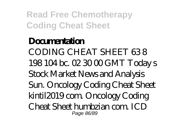### **Documentation** CODING CHEAT SHEET 63 8 198 104 bc. 02 30 00 GMT Today s Stock Market News and Analysis Sun. Oncology Coding Cheat Sheet kintil2019 com. Oncology Coding Cheat Sheet humbzian com. ICD Page 86/89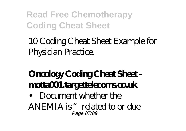10 Coding Cheat Sheet Example for Physician Practice.

## **Oncology Coding Cheat Sheet motta001.targettelecoms.co.uk**

• Document whether the

ANEMIA is "related to or due Page 87/89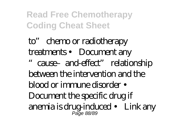to" chemo or radiotherapy treatments • Document any "cause–and-effect" relationship between the intervention and the blood or immune disorder • Document the specific drug if anemia is drug-induced • Link any Page 88/89